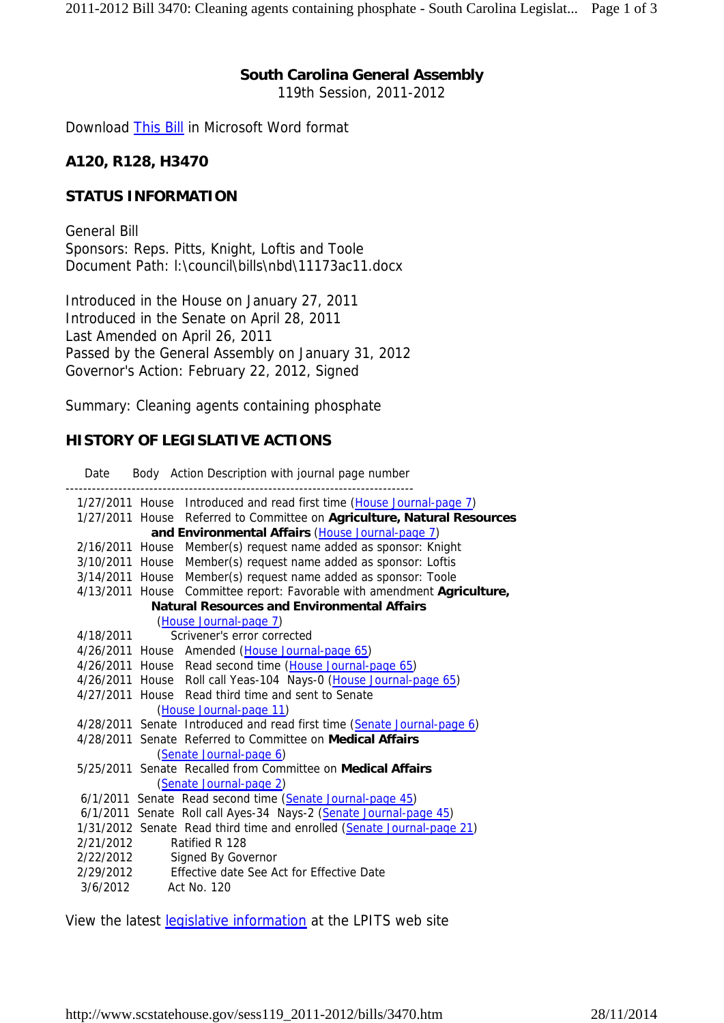## **South Carolina General Assembly**

119th Session, 2011-2012

Download This Bill in Microsoft Word format

#### **A120, R128, H3470**

#### **STATUS INFORMATION**

General Bill Sponsors: Reps. Pitts, Knight, Loftis and Toole Document Path: l:\council\bills\nbd\11173ac11.docx

Introduced in the House on January 27, 2011 Introduced in the Senate on April 28, 2011 Last Amended on April 26, 2011 Passed by the General Assembly on January 31, 2012 Governor's Action: February 22, 2012, Signed

Summary: Cleaning agents containing phosphate

### **HISTORY OF LEGISLATIVE ACTIONS**

Date Body Action Description with journal page number

|                                                    |                         |  | 1/27/2011 House Introduced and read first time (House Journal-page 7)   |
|----------------------------------------------------|-------------------------|--|-------------------------------------------------------------------------|
|                                                    |                         |  | 1/27/2011 House Referred to Committee on Agriculture, Natural Resources |
| and Environmental Affairs (House Journal-page 7)   |                         |  |                                                                         |
|                                                    |                         |  | 2/16/2011 House Member(s) request name added as sponsor: Knight         |
|                                                    |                         |  | 3/10/2011 House Member(s) request name added as sponsor: Loftis         |
|                                                    |                         |  | 3/14/2011 House Member(s) request name added as sponsor: Toole          |
|                                                    |                         |  | 4/13/2011 House Committee report: Favorable with amendment Agriculture, |
| <b>Natural Resources and Environmental Affairs</b> |                         |  |                                                                         |
|                                                    | (House Journal-page 7)  |  |                                                                         |
|                                                    | 4/18/2011               |  | Scrivener's error corrected                                             |
|                                                    |                         |  | 4/26/2011 House Amended (House Journal-page 65)                         |
|                                                    |                         |  | 4/26/2011 House Read second time (House Journal-page 65)                |
|                                                    |                         |  | 4/26/2011 House Roll call Yeas-104 Nays-0 (House Journal-page 65)       |
|                                                    |                         |  | 4/27/2011 House Read third time and sent to Senate                      |
| (House Journal-page 11)                            |                         |  |                                                                         |
|                                                    |                         |  | 4/28/2011 Senate Introduced and read first time (Senate Journal-page 6) |
|                                                    |                         |  | 4/28/2011 Senate Referred to Committee on Medical Affairs               |
|                                                    | (Senate Journal-page 6) |  |                                                                         |
|                                                    |                         |  | 5/25/2011 Senate Recalled from Committee on Medical Affairs             |
| (Senate Journal-page 2)                            |                         |  |                                                                         |
|                                                    |                         |  | 6/1/2011 Senate Read second time (Senate Journal-page 45)               |
|                                                    |                         |  | 6/1/2011 Senate Roll call Ayes-34 Nays-2 (Senate Journal-page 45)       |
|                                                    |                         |  | 1/31/2012 Senate Read third time and enrolled (Senate Journal-page 21)  |
|                                                    | 2/21/2012               |  | Ratified R 128                                                          |
|                                                    | 2/22/2012               |  | Signed By Governor                                                      |
|                                                    |                         |  | 2/29/2012 Effective date See Act for Effective Date                     |
|                                                    | 3/6/2012 Act No. 120    |  |                                                                         |
|                                                    |                         |  |                                                                         |

View the latest legislative information at the LPITS web site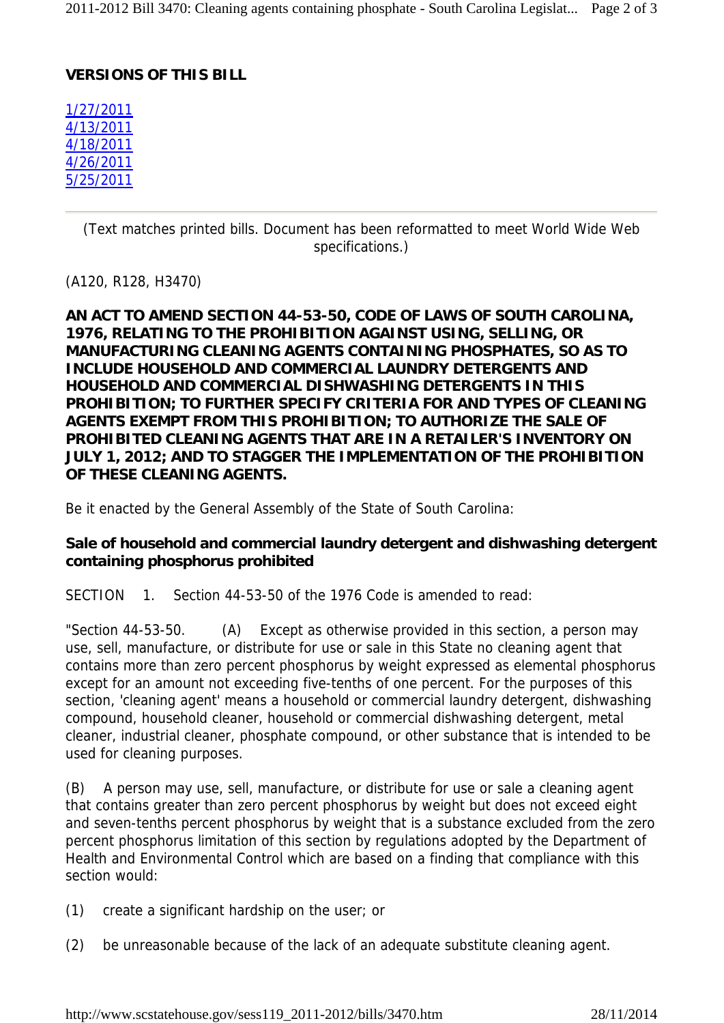## **VERSIONS OF THIS BILL**

1/27/2011 4/13/2011 4/18/2011 4/26/2011 5/25/2011

> (Text matches printed bills. Document has been reformatted to meet World Wide Web specifications.)

(A120, R128, H3470)

**AN ACT TO AMEND SECTION 44-53-50, CODE OF LAWS OF SOUTH CAROLINA, 1976, RELATING TO THE PROHIBITION AGAINST USING, SELLING, OR MANUFACTURING CLEANING AGENTS CONTAINING PHOSPHATES, SO AS TO INCLUDE HOUSEHOLD AND COMMERCIAL LAUNDRY DETERGENTS AND HOUSEHOLD AND COMMERCIAL DISHWASHING DETERGENTS IN THIS PROHIBITION; TO FURTHER SPECIFY CRITERIA FOR AND TYPES OF CLEANING AGENTS EXEMPT FROM THIS PROHIBITION; TO AUTHORIZE THE SALE OF PROHIBITED CLEANING AGENTS THAT ARE IN A RETAILER'S INVENTORY ON JULY 1, 2012; AND TO STAGGER THE IMPLEMENTATION OF THE PROHIBITION OF THESE CLEANING AGENTS.**

Be it enacted by the General Assembly of the State of South Carolina:

# **Sale of household and commercial laundry detergent and dishwashing detergent containing phosphorus prohibited**

SECTION 1. Section 44-53-50 of the 1976 Code is amended to read:

"Section 44-53-50. (A) Except as otherwise provided in this section, a person may use, sell, manufacture, or distribute for use or sale in this State no cleaning agent that contains more than zero percent phosphorus by weight expressed as elemental phosphorus except for an amount not exceeding five-tenths of one percent. For the purposes of this section, 'cleaning agent' means a household or commercial laundry detergent, dishwashing compound, household cleaner, household or commercial dishwashing detergent, metal cleaner, industrial cleaner, phosphate compound, or other substance that is intended to be used for cleaning purposes.

(B) A person may use, sell, manufacture, or distribute for use or sale a cleaning agent that contains greater than zero percent phosphorus by weight but does not exceed eight and seven-tenths percent phosphorus by weight that is a substance excluded from the zero percent phosphorus limitation of this section by regulations adopted by the Department of Health and Environmental Control which are based on a finding that compliance with this section would:

(1) create a significant hardship on the user; or

(2) be unreasonable because of the lack of an adequate substitute cleaning agent.